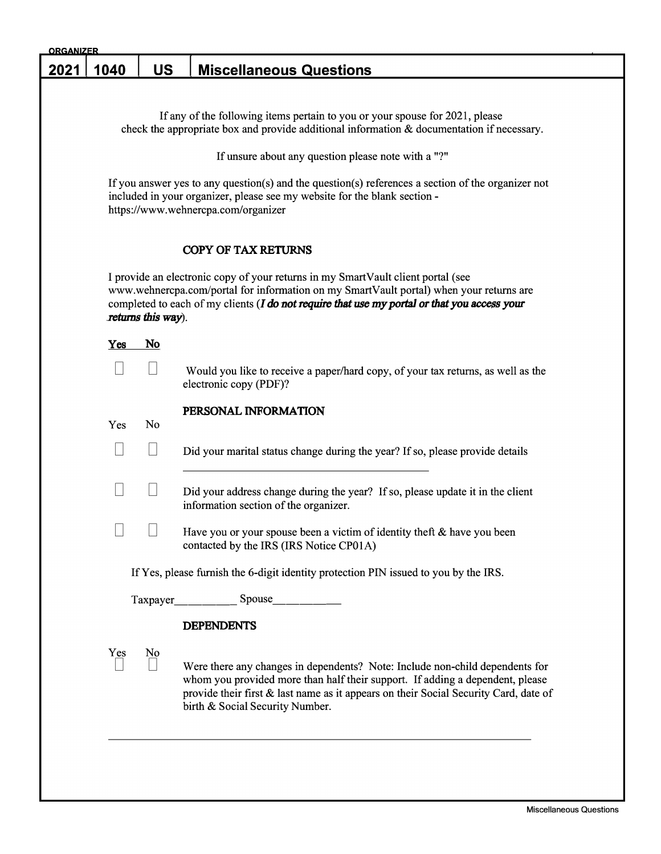| <u>ORGANIZER</u> |      |                    |                                                                                                                                                                                                                                                                                          |  |  |
|------------------|------|--------------------|------------------------------------------------------------------------------------------------------------------------------------------------------------------------------------------------------------------------------------------------------------------------------------------|--|--|
| 2021             | 1040 | <b>US</b>          | <b>Miscellaneous Questions</b>                                                                                                                                                                                                                                                           |  |  |
|                  |      |                    |                                                                                                                                                                                                                                                                                          |  |  |
|                  |      |                    | If any of the following items pertain to you or your spouse for 2021, please<br>check the appropriate box and provide additional information $\&$ documentation if necessary.                                                                                                            |  |  |
|                  |      |                    | If unsure about any question please note with a "?"                                                                                                                                                                                                                                      |  |  |
|                  |      |                    | If you answer yes to any question(s) and the question(s) references a section of the organizer not<br>included in your organizer, please see my website for the blank section -<br>https://www.wehnercpa.com/organizer                                                                   |  |  |
|                  |      |                    | <b>COPY OF TAX RETURNS</b>                                                                                                                                                                                                                                                               |  |  |
|                  |      | returns this way). | I provide an electronic copy of your returns in my SmartVault client portal (see<br>www.wehnercpa.com/portal for information on my SmartVault portal) when your returns are<br>completed to each of my clients $(I$ do not require that use my portal or that you access your            |  |  |
|                  | Yes  | No                 |                                                                                                                                                                                                                                                                                          |  |  |
|                  |      |                    | Would you like to receive a paper/hard copy, of your tax returns, as well as the<br>electronic copy (PDF)?                                                                                                                                                                               |  |  |
|                  | Yes  | No                 | PERSONAL INFORMATION                                                                                                                                                                                                                                                                     |  |  |
|                  |      |                    | Did your marital status change during the year? If so, please provide details                                                                                                                                                                                                            |  |  |
|                  |      |                    | Did your address change during the year? If so, please update it in the client<br>information section of the organizer.                                                                                                                                                                  |  |  |
|                  |      |                    | Have you or your spouse been a victim of identity theft $&$ have you been<br>contacted by the IRS (IRS Notice CP01A)                                                                                                                                                                     |  |  |
|                  |      |                    | If Yes, please furnish the 6-digit identity protection PIN issued to you by the IRS.                                                                                                                                                                                                     |  |  |
|                  |      |                    | Taxpayer <u>________</u> ____Spouse _________                                                                                                                                                                                                                                            |  |  |
|                  |      |                    | <b>DEPENDENTS</b>                                                                                                                                                                                                                                                                        |  |  |
|                  | Yes  | N0                 | Were there any changes in dependents? Note: Include non-child dependents for<br>whom you provided more than half their support. If adding a dependent, please<br>provide their first & last name as it appears on their Social Security Card, date of<br>birth & Social Security Number. |  |  |
|                  |      |                    |                                                                                                                                                                                                                                                                                          |  |  |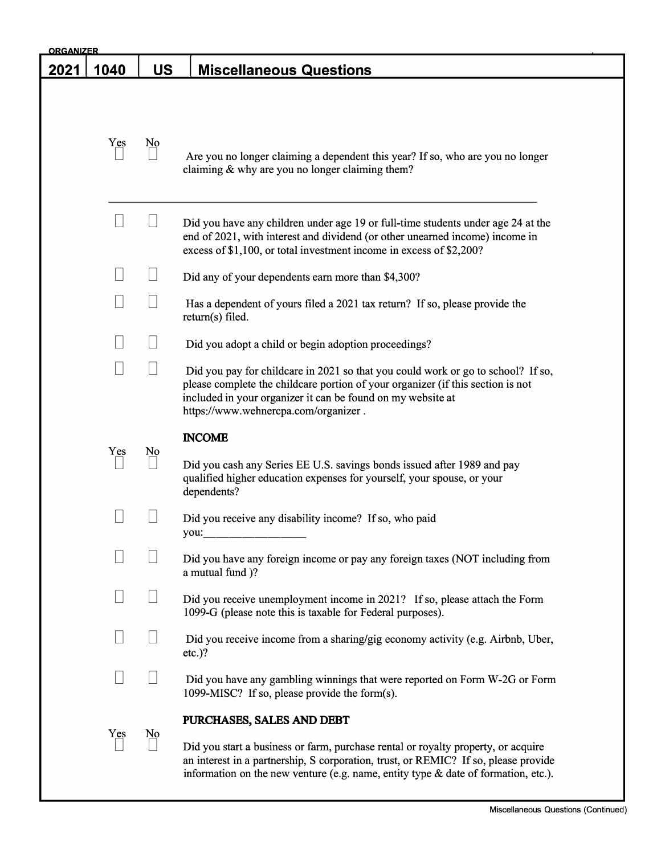| <b>ORGANIZER</b> |                          |                        |                                                                                                                                                                                                                                                                            |  |  |
|------------------|--------------------------|------------------------|----------------------------------------------------------------------------------------------------------------------------------------------------------------------------------------------------------------------------------------------------------------------------|--|--|
| 2021             | 1040                     | <u>US</u>              | <b>Miscellaneous Questions</b>                                                                                                                                                                                                                                             |  |  |
|                  |                          |                        |                                                                                                                                                                                                                                                                            |  |  |
|                  | Yes                      | $\underline{No}$       | Are you no longer claiming a dependent this year? If so, who are you no longer<br>claiming $&$ why are you no longer claiming them?                                                                                                                                        |  |  |
|                  |                          |                        | Did you have any children under age 19 or full-time students under age 24 at the<br>end of 2021, with interest and dividend (or other unearned income) income in<br>excess of \$1,100, or total investment income in excess of \$2,200?                                    |  |  |
|                  |                          |                        | Did any of your dependents earn more than \$4,300?                                                                                                                                                                                                                         |  |  |
|                  |                          |                        | Has a dependent of yours filed a 2021 tax return? If so, please provide the<br>return(s) filed.                                                                                                                                                                            |  |  |
|                  |                          |                        | Did you adopt a child or begin adoption proceedings?                                                                                                                                                                                                                       |  |  |
|                  | $\overline{\phantom{a}}$ |                        | Did you pay for childcare in 2021 so that you could work or go to school? If so,<br>please complete the childcare portion of your organizer (if this section is not<br>included in your organizer it can be found on my website at<br>https://www.wehnercpa.com/organizer. |  |  |
|                  |                          |                        | <b>INCOME</b>                                                                                                                                                                                                                                                              |  |  |
|                  | Yes                      | N <sub>0</sub>         | Did you cash any Series EE U.S. savings bonds issued after 1989 and pay<br>qualified higher education expenses for yourself, your spouse, or your<br>dependents?                                                                                                           |  |  |
|                  |                          |                        | Did you receive any disability income? If so, who paid<br>you:                                                                                                                                                                                                             |  |  |
|                  |                          |                        | Did you have any foreign income or pay any foreign taxes (NOT including from<br>a mutual fund )?                                                                                                                                                                           |  |  |
|                  |                          |                        | Did you receive unemployment income in 2021? If so, please attach the Form<br>1099-G (please note this is taxable for Federal purposes).                                                                                                                                   |  |  |
|                  |                          |                        | Did you receive income from a sharing/gig economy activity (e.g. Airbnb, Uber,<br>$etc.$ )?                                                                                                                                                                                |  |  |
|                  |                          |                        | Did you have any gambling winnings that were reported on Form W-2G or Form<br>1099-MISC? If so, please provide the form(s).                                                                                                                                                |  |  |
|                  |                          |                        | PURCHASES, SALES AND DEBT                                                                                                                                                                                                                                                  |  |  |
|                  | Yes                      | $\overline{\text{No}}$ | Did you start a business or farm, purchase rental or royalty property, or acquire<br>an interest in a partnership, S corporation, trust, or REMIC? If so, please provide<br>information on the new venture (e.g. name, entity type & date of formation, etc.).             |  |  |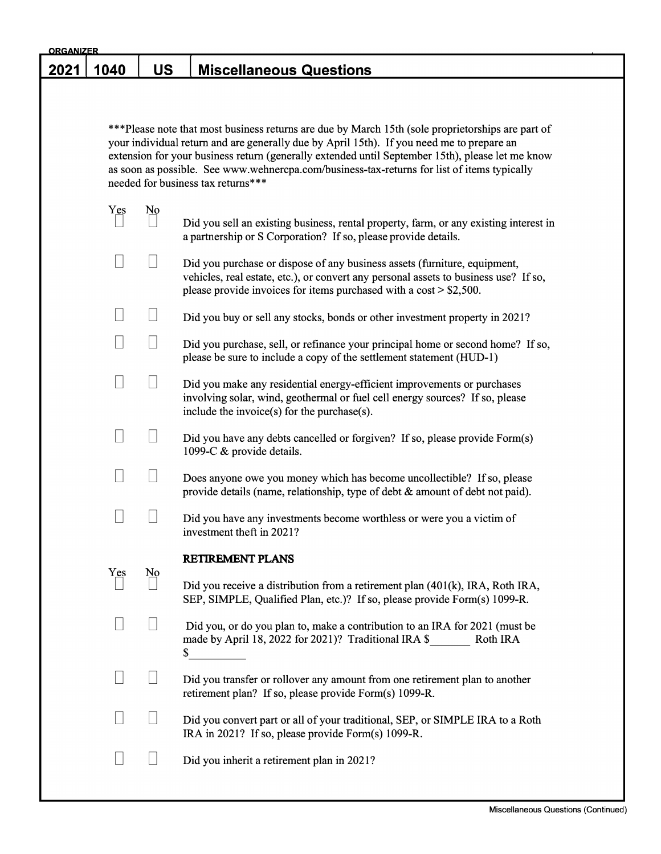| <u>ORGANIZER</u> |      |                  |                                                                                                                                                                                                                                                                                                                                                                                                                                         |
|------------------|------|------------------|-----------------------------------------------------------------------------------------------------------------------------------------------------------------------------------------------------------------------------------------------------------------------------------------------------------------------------------------------------------------------------------------------------------------------------------------|
| <u> 2021</u>     | 1040 | US               | <b>Miscellaneous Questions</b>                                                                                                                                                                                                                                                                                                                                                                                                          |
|                  |      |                  |                                                                                                                                                                                                                                                                                                                                                                                                                                         |
|                  |      |                  | ***Please note that most business returns are due by March 15th (sole proprietorships are part of<br>your individual return and are generally due by April 15th). If you need me to prepare an<br>extension for your business return (generally extended until September 15th), please let me know<br>as soon as possible. See www.wehnercpa.com/business-tax-returns for list of items typically<br>needed for business tax returns*** |
|                  | Yes  | $\underline{No}$ | Did you sell an existing business, rental property, farm, or any existing interest in<br>a partnership or S Corporation? If so, please provide details.                                                                                                                                                                                                                                                                                 |
|                  |      |                  | Did you purchase or dispose of any business assets (furniture, equipment,<br>vehicles, real estate, etc.), or convert any personal assets to business use? If so,<br>please provide invoices for items purchased with a $cost > $2,500$ .                                                                                                                                                                                               |
|                  |      |                  | Did you buy or sell any stocks, bonds or other investment property in 2021?                                                                                                                                                                                                                                                                                                                                                             |
|                  |      |                  | Did you purchase, sell, or refinance your principal home or second home? If so,<br>please be sure to include a copy of the settlement statement (HUD-1)                                                                                                                                                                                                                                                                                 |
|                  |      |                  | Did you make any residential energy-efficient improvements or purchases<br>involving solar, wind, geothermal or fuel cell energy sources? If so, please<br>include the invoice(s) for the purchase(s).                                                                                                                                                                                                                                  |
|                  |      |                  | Did you have any debts cancelled or forgiven? If so, please provide Form(s)<br>1099-C & provide details.                                                                                                                                                                                                                                                                                                                                |
|                  |      |                  | Does anyone owe you money which has become uncollectible? If so, please<br>provide details (name, relationship, type of debt & amount of debt not paid).                                                                                                                                                                                                                                                                                |
|                  |      |                  | Did you have any investments become worthless or were you a victim of<br>investment theft in 2021?                                                                                                                                                                                                                                                                                                                                      |
|                  |      |                  | RETIREMENT PLANS                                                                                                                                                                                                                                                                                                                                                                                                                        |
|                  | Yes  | $\underline{No}$ | Did you receive a distribution from a retirement plan (401(k), IRA, Roth IRA,<br>SEP, SIMPLE, Qualified Plan, etc.)? If so, please provide Form(s) 1099-R.                                                                                                                                                                                                                                                                              |
|                  |      |                  | Did you, or do you plan to, make a contribution to an IRA for 2021 (must be<br>made by April 18, 2022 for 2021)? Traditional IRA \$<br>Roth IRA<br>\$                                                                                                                                                                                                                                                                                   |
|                  |      |                  | Did you transfer or rollover any amount from one retirement plan to another<br>retirement plan? If so, please provide Form(s) 1099-R.                                                                                                                                                                                                                                                                                                   |
|                  |      |                  | Did you convert part or all of your traditional, SEP, or SIMPLE IRA to a Roth<br>IRA in 2021? If so, please provide Form(s) 1099-R.                                                                                                                                                                                                                                                                                                     |
|                  |      |                  | Did you inherit a retirement plan in 2021?                                                                                                                                                                                                                                                                                                                                                                                              |
|                  |      |                  |                                                                                                                                                                                                                                                                                                                                                                                                                                         |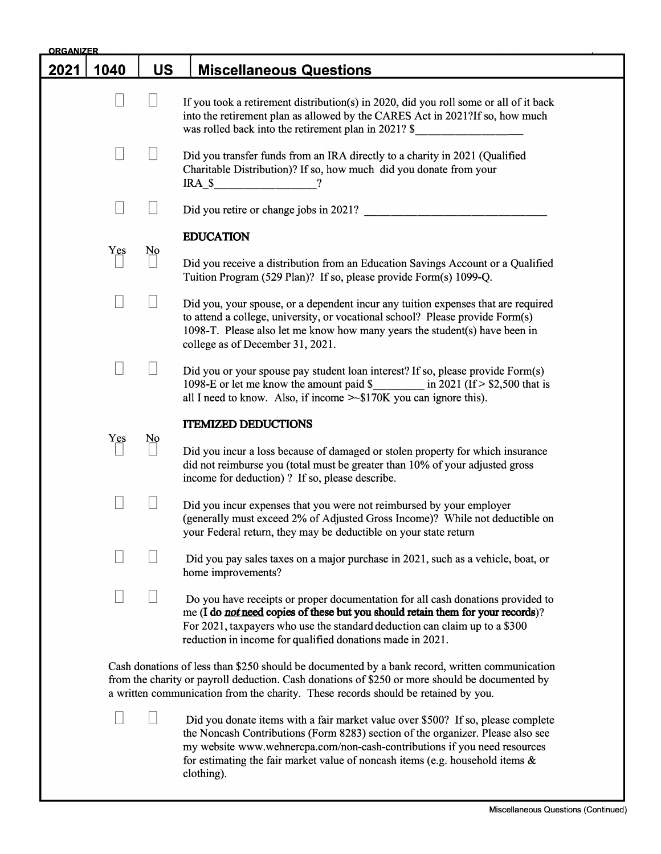| <b>ORGANIZER</b> |        |                  |                                                                                                                                                                                                                                                                                                                                                    |
|------------------|--------|------------------|----------------------------------------------------------------------------------------------------------------------------------------------------------------------------------------------------------------------------------------------------------------------------------------------------------------------------------------------------|
| <u> 2021 </u>    | 1040   | <b>US</b>        | <b>Miscellaneous Questions</b>                                                                                                                                                                                                                                                                                                                     |
|                  | Н      | Ш                | If you took a retirement distribution(s) in 2020, did you roll some or all of it back<br>into the retirement plan as allowed by the CARES Act in 2021?If so, how much<br>was rolled back into the retirement plan in 2021? \$<br><u> 1990 - Jan Barat, politik politik (</u>                                                                       |
|                  |        |                  | Did you transfer funds from an IRA directly to a charity in 2021 (Qualified<br>Charitable Distribution)? If so, how much did you donate from your<br>$IRA_S$ ?                                                                                                                                                                                     |
|                  |        |                  | Did you retire or change jobs in 2021?                                                                                                                                                                                                                                                                                                             |
|                  | Yes    | $\underline{No}$ | <b>EDUCATION</b><br>Did you receive a distribution from an Education Savings Account or a Qualified<br>Tuition Program (529 Plan)? If so, please provide Form(s) 1099-Q.                                                                                                                                                                           |
|                  |        |                  | Did you, your spouse, or a dependent incur any tuition expenses that are required<br>to attend a college, university, or vocational school? Please provide Form(s)<br>1098-T. Please also let me know how many years the student(s) have been in<br>college as of December 31, 2021.                                                               |
|                  | $\Box$ |                  | Did you or your spouse pay student loan interest? If so, please provide Form(s)<br>1098-E or let me know the amount paid $\frac{1}{2}$ in 2021 (If > \$2,500 that is<br>all I need to know. Also, if income $\gg$ \$170K you can ignore this).                                                                                                     |
|                  |        |                  | <b>ITEMIZED DEDUCTIONS</b>                                                                                                                                                                                                                                                                                                                         |
|                  | Yes    | $\underline{No}$ | Did you incur a loss because of damaged or stolen property for which insurance<br>did not reimburse you (total must be greater than 10% of your adjusted gross<br>income for deduction)? If so, please describe.                                                                                                                                   |
|                  |        |                  | Did you incur expenses that you were not reimbursed by your employer<br>(generally must exceed 2% of Adjusted Gross Income)? While not deductible on<br>your Federal return, they may be deductible on your state return                                                                                                                           |
|                  |        |                  | Did you pay sales taxes on a major purchase in 2021, such as a vehicle, boat, or<br>home improvements?                                                                                                                                                                                                                                             |
|                  |        |                  | Do you have receipts or proper documentation for all cash donations provided to<br>me (I do not need copies of these but you should retain them for your records)?<br>For 2021, taxpayers who use the standard deduction can claim up to a \$300<br>reduction in income for qualified donations made in 2021.                                      |
|                  |        |                  | Cash donations of less than \$250 should be documented by a bank record, written communication<br>from the charity or payroll deduction. Cash donations of \$250 or more should be documented by<br>a written communication from the charity. These records should be retained by you.                                                             |
|                  |        |                  | Did you donate items with a fair market value over \$500? If so, please complete<br>the Noncash Contributions (Form 8283) section of the organizer. Please also see<br>my website www.wehnercpa.com/non-cash-contributions if you need resources<br>for estimating the fair market value of noncash items (e.g. household items $\&$<br>clothing). |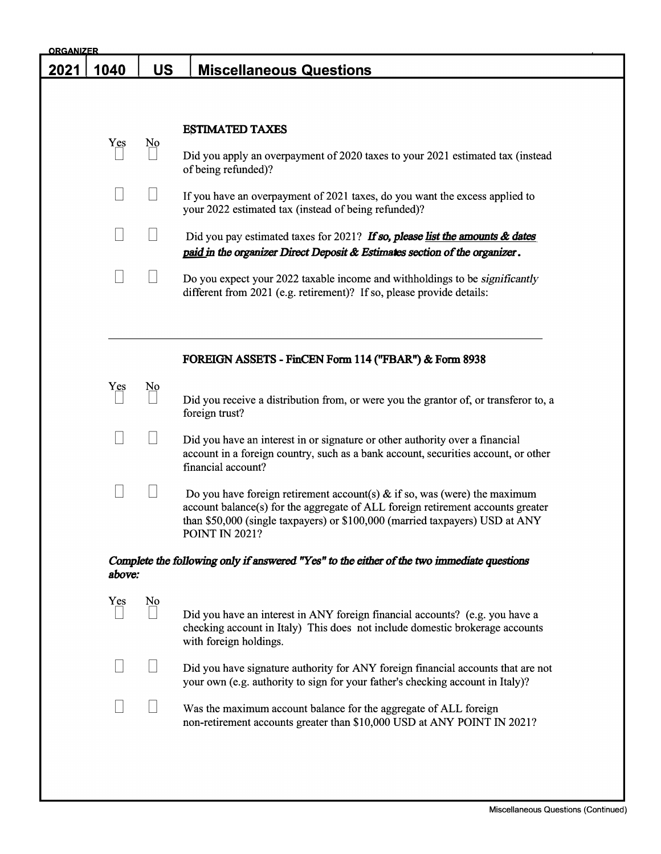| <u>ORGANIZER</u> |        |                |                                                                                                                                                                                                                                                                          |  |
|------------------|--------|----------------|--------------------------------------------------------------------------------------------------------------------------------------------------------------------------------------------------------------------------------------------------------------------------|--|
|                  | 1040   | <b>US</b>      | <b>Miscellaneous Questions</b>                                                                                                                                                                                                                                           |  |
|                  |        |                |                                                                                                                                                                                                                                                                          |  |
|                  |        |                |                                                                                                                                                                                                                                                                          |  |
|                  | Yes    | N <sub>0</sub> | <b>ESTIMATED TAXES</b>                                                                                                                                                                                                                                                   |  |
|                  |        |                | Did you apply an overpayment of 2020 taxes to your 2021 estimated tax (instead<br>of being refunded)?                                                                                                                                                                    |  |
|                  |        |                | If you have an overpayment of 2021 taxes, do you want the excess applied to<br>your 2022 estimated tax (instead of being refunded)?                                                                                                                                      |  |
|                  |        |                | Did you pay estimated taxes for 2021? If so, please list the amounts $\&$ dates<br>paid in the organizer Direct Deposit & Estimates section of the organizer.                                                                                                            |  |
|                  |        |                | Do you expect your 2022 taxable income and withholdings to be <i>significantly</i><br>different from 2021 (e.g. retirement)? If so, please provide details:                                                                                                              |  |
|                  |        |                | FOREIGN ASSETS - FinCEN Form 114 ("FBAR") & Form 8938                                                                                                                                                                                                                    |  |
|                  | Yes    | N <sub>0</sub> | Did you receive a distribution from, or were you the grantor of, or transferor to, a<br>foreign trust?                                                                                                                                                                   |  |
|                  |        |                | Did you have an interest in or signature or other authority over a financial<br>account in a foreign country, such as a bank account, securities account, or other<br>financial account?                                                                                 |  |
|                  |        |                | Do you have foreign retirement account(s) $\&$ if so, was (were) the maximum<br>account balance(s) for the aggregate of ALL foreign retirement accounts greater<br>than \$50,000 (single taxpayers) or \$100,000 (married taxpayers) USD at ANY<br><b>POINT IN 2021?</b> |  |
|                  | above: |                | Complete the following only if answered "Yes" to the either of the two immediate questions                                                                                                                                                                               |  |
|                  | Yes    | N <sub>0</sub> |                                                                                                                                                                                                                                                                          |  |
|                  |        |                | Did you have an interest in ANY foreign financial accounts? (e.g. you have a<br>checking account in Italy) This does not include domestic brokerage accounts<br>with foreign holdings.                                                                                   |  |
|                  |        |                | Did you have signature authority for ANY foreign financial accounts that are not<br>your own (e.g. authority to sign for your father's checking account in Italy)?                                                                                                       |  |
|                  |        |                | Was the maximum account balance for the aggregate of ALL foreign<br>non-retirement accounts greater than \$10,000 USD at ANY POINT IN 2021?                                                                                                                              |  |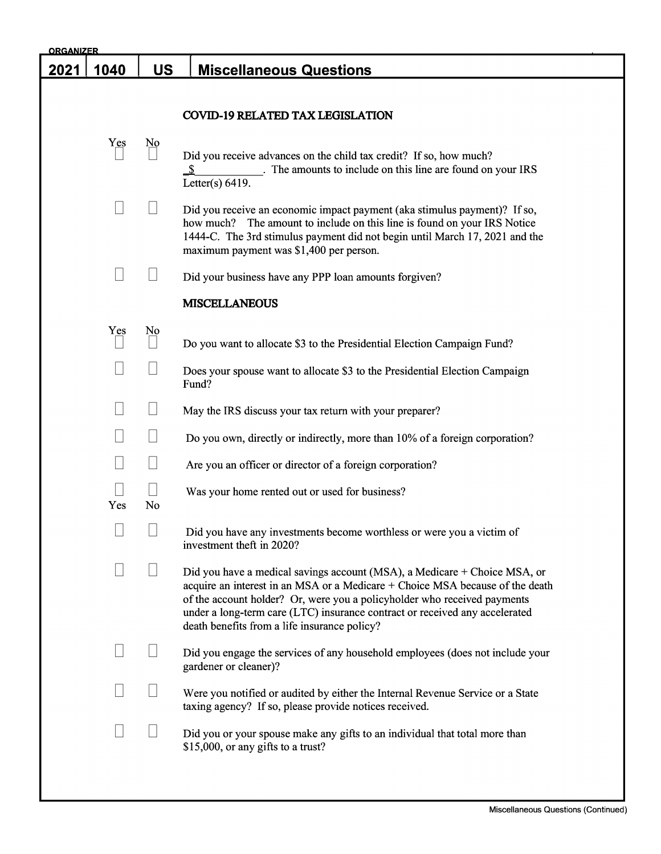| <b>ORGANIZER</b> |        |                  |                                                                                                                                                                                                                                                                                                                                                                       |
|------------------|--------|------------------|-----------------------------------------------------------------------------------------------------------------------------------------------------------------------------------------------------------------------------------------------------------------------------------------------------------------------------------------------------------------------|
| 2021             | 1040   | <u>US</u>        | <b>Miscellaneous Questions</b>                                                                                                                                                                                                                                                                                                                                        |
|                  |        |                  |                                                                                                                                                                                                                                                                                                                                                                       |
|                  |        |                  | <b>COVID-19 RELATED TAX LEGISLATION</b>                                                                                                                                                                                                                                                                                                                               |
|                  | Yes    | $\underline{No}$ | Did you receive advances on the child tax credit? If so, how much?<br>. The amounts to include on this line are found on your IRS<br>Letter(s) $6419$ .                                                                                                                                                                                                               |
|                  |        |                  | Did you receive an economic impact payment (aka stimulus payment)? If so,<br>how much? The amount to include on this line is found on your IRS Notice<br>1444-C. The 3rd stimulus payment did not begin until March 17, 2021 and the<br>maximum payment was \$1,400 per person.                                                                                       |
|                  |        |                  | Did your business have any PPP loan amounts forgiven?                                                                                                                                                                                                                                                                                                                 |
|                  |        |                  | <b>MISCELLANEOUS</b>                                                                                                                                                                                                                                                                                                                                                  |
|                  | Yes    | N <sub>0</sub>   | Do you want to allocate \$3 to the Presidential Election Campaign Fund?                                                                                                                                                                                                                                                                                               |
|                  |        |                  | Does your spouse want to allocate \$3 to the Presidential Election Campaign<br>Fund?                                                                                                                                                                                                                                                                                  |
|                  |        |                  | May the IRS discuss your tax return with your preparer?                                                                                                                                                                                                                                                                                                               |
|                  |        |                  | Do you own, directly or indirectly, more than 10% of a foreign corporation?                                                                                                                                                                                                                                                                                           |
|                  |        |                  | Are you an officer or director of a foreign corporation?                                                                                                                                                                                                                                                                                                              |
|                  | Yes    | No               | Was your home rented out or used for business?                                                                                                                                                                                                                                                                                                                        |
|                  | $\Box$ | $\Box$           | Did you have any investments become worthless or were you a victim of<br>investment theft in 2020?                                                                                                                                                                                                                                                                    |
|                  |        |                  | Did you have a medical savings account (MSA), a Medicare + Choice MSA, or<br>acquire an interest in an MSA or a Medicare + Choice MSA because of the death<br>of the account holder? Or, were you a policyholder who received payments<br>under a long-term care (LTC) insurance contract or received any accelerated<br>death benefits from a life insurance policy? |
|                  |        |                  | Did you engage the services of any household employees (does not include your<br>gardener or cleaner)?                                                                                                                                                                                                                                                                |
|                  |        |                  | Were you notified or audited by either the Internal Revenue Service or a State<br>taxing agency? If so, please provide notices received.                                                                                                                                                                                                                              |
|                  |        |                  | Did you or your spouse make any gifts to an individual that total more than<br>\$15,000, or any gifts to a trust?                                                                                                                                                                                                                                                     |